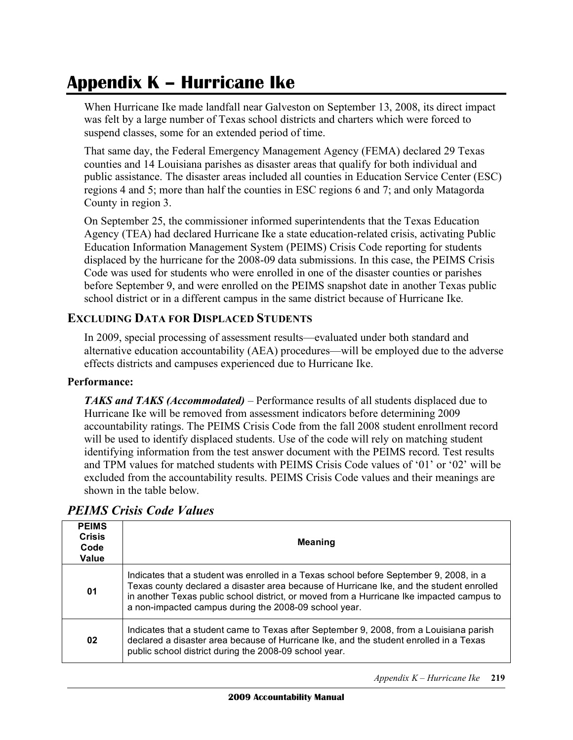# **Appendix K – Hurricane Ike**

 When Hurricane Ike made landfall near Galveston on September 13, 2008, its direct impact was felt by a large number of Texas school districts and charters which were forced to suspend classes, some for an extended period of time.

 That same day, the Federal Emergency Management Agency (FEMA) declared 29 Texas counties and 14 Louisiana parishes as disaster areas that qualify for both individual and public assistance. The disaster areas included all counties in Education Service Center (ESC) regions 4 and 5; more than half the counties in ESC regions 6 and 7; and only Matagorda County in region 3.

 On September 25, the commissioner informed superintendents that the Texas Education Agency (TEA) had declared Hurricane Ike a state education-related crisis, activating Public Education Information Management System (PEIMS) Crisis Code reporting for students displaced by the hurricane for the 2008-09 data submissions. In this case, the PEIMS Crisis Code was used for students who were enrolled in one of the disaster counties or parishes before September 9, and were enrolled on the PEIMS snapshot date in another Texas public school district or in a different campus in the same district because of Hurricane Ike.

# **EXCLUDING DATA FOR DISPLACED STUDENTS**

 In 2009, special processing of assessment results—evaluated under both standard and alternative education accountability (AEA) procedures—will be employed due to the adverse effects districts and campuses experienced due to Hurricane Ike.

#### **Performance:**

 *TAKS and TAKS (Accommodated)* – Performance results of all students displaced due to Hurricane Ike will be removed from assessment indicators before determining 2009 accountability ratings. The PEIMS Crisis Code from the fall 2008 student enrollment record will be used to identify displaced students. Use of the code will rely on matching student identifying information from the test answer document with the PEIMS record. Test results and TPM values for matched students with PEIMS Crisis Code values of '01' or '02' will be excluded from the accountability results. PEIMS Crisis Code values and their meanings are shown in the table below.

| <b>PEIMS Crisis Code Values</b> |  |  |  |
|---------------------------------|--|--|--|
|---------------------------------|--|--|--|

| <b>PEIMS</b><br><b>Crisis</b><br>Code<br>Value | <b>Meaning</b>                                                                                                                                                                                                                                                                                                                           |
|------------------------------------------------|------------------------------------------------------------------------------------------------------------------------------------------------------------------------------------------------------------------------------------------------------------------------------------------------------------------------------------------|
| 01                                             | Indicates that a student was enrolled in a Texas school before September 9, 2008, in a<br>Texas county declared a disaster area because of Hurricane Ike, and the student enrolled<br>in another Texas public school district, or moved from a Hurricane Ike impacted campus to<br>a non-impacted campus during the 2008-09 school year. |
| 02                                             | Indicates that a student came to Texas after September 9, 2008, from a Louisiana parish<br>declared a disaster area because of Hurricane Ike, and the student enrolled in a Texas<br>public school district during the 2008-09 school year.                                                                                              |